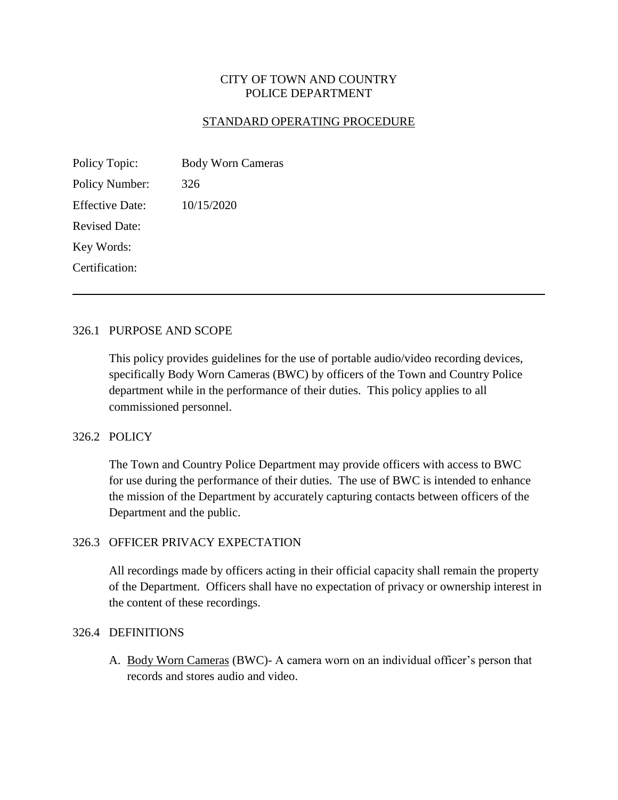## CITY OF TOWN AND COUNTRY POLICE DEPARTMENT

### STANDARD OPERATING PROCEDURE

| Policy Topic:         | <b>Body Worn Cameras</b> |
|-----------------------|--------------------------|
| <b>Policy Number:</b> | 326                      |
| Effective Date:       | 10/15/2020               |
| <b>Revised Date:</b>  |                          |
| Key Words:            |                          |
| Certification:        |                          |

#### 326.1 PURPOSE AND SCOPE

This policy provides guidelines for the use of portable audio/video recording devices, specifically Body Worn Cameras (BWC) by officers of the Town and Country Police department while in the performance of their duties. This policy applies to all commissioned personnel.

## 326.2 POLICY

The Town and Country Police Department may provide officers with access to BWC for use during the performance of their duties. The use of BWC is intended to enhance the mission of the Department by accurately capturing contacts between officers of the Department and the public.

#### 326.3 OFFICER PRIVACY EXPECTATION

All recordings made by officers acting in their official capacity shall remain the property of the Department. Officers shall have no expectation of privacy or ownership interest in the content of these recordings.

#### 326.4 DEFINITIONS

A. Body Worn Cameras (BWC)- A camera worn on an individual officer's person that records and stores audio and video.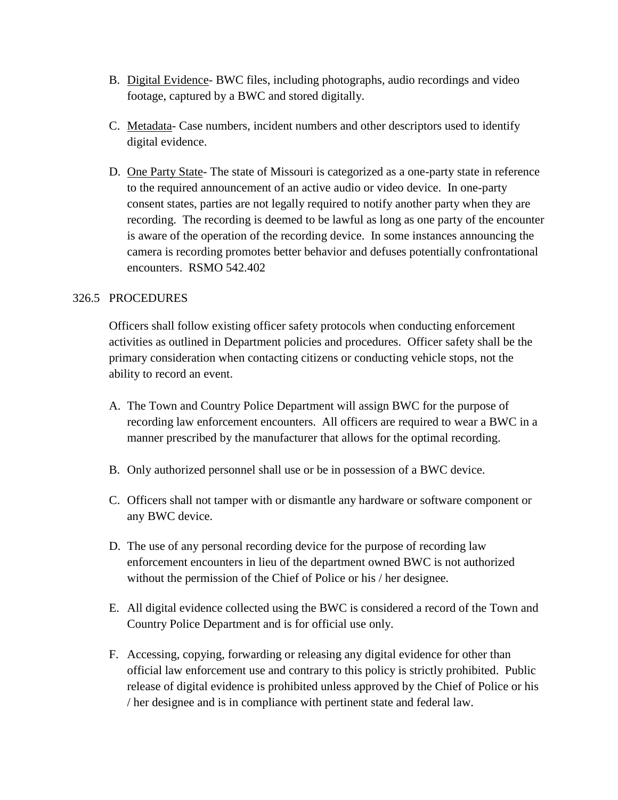- B. Digital Evidence- BWC files, including photographs, audio recordings and video footage, captured by a BWC and stored digitally.
- C. Metadata- Case numbers, incident numbers and other descriptors used to identify digital evidence.
- D. One Party State- The state of Missouri is categorized as a one-party state in reference to the required announcement of an active audio or video device. In one-party consent states, parties are not legally required to notify another party when they are recording. The recording is deemed to be lawful as long as one party of the encounter is aware of the operation of the recording device. In some instances announcing the camera is recording promotes better behavior and defuses potentially confrontational encounters. RSMO 542.402

## 326.5 PROCEDURES

Officers shall follow existing officer safety protocols when conducting enforcement activities as outlined in Department policies and procedures. Officer safety shall be the primary consideration when contacting citizens or conducting vehicle stops, not the ability to record an event.

- A. The Town and Country Police Department will assign BWC for the purpose of recording law enforcement encounters. All officers are required to wear a BWC in a manner prescribed by the manufacturer that allows for the optimal recording.
- B. Only authorized personnel shall use or be in possession of a BWC device.
- C. Officers shall not tamper with or dismantle any hardware or software component or any BWC device.
- D. The use of any personal recording device for the purpose of recording law enforcement encounters in lieu of the department owned BWC is not authorized without the permission of the Chief of Police or his / her designee.
- E. All digital evidence collected using the BWC is considered a record of the Town and Country Police Department and is for official use only.
- F. Accessing, copying, forwarding or releasing any digital evidence for other than official law enforcement use and contrary to this policy is strictly prohibited. Public release of digital evidence is prohibited unless approved by the Chief of Police or his / her designee and is in compliance with pertinent state and federal law.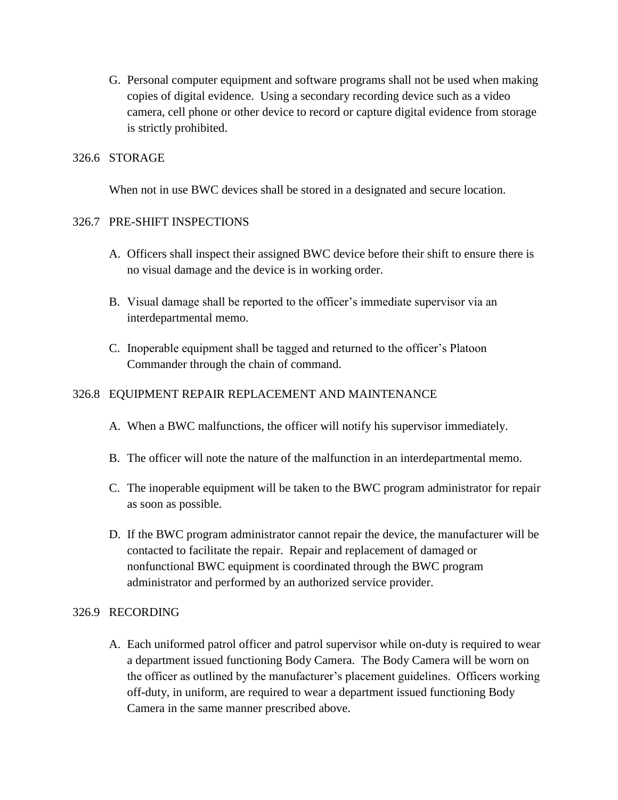G. Personal computer equipment and software programs shall not be used when making copies of digital evidence. Using a secondary recording device such as a video camera, cell phone or other device to record or capture digital evidence from storage is strictly prohibited.

## 326.6 STORAGE

When not in use BWC devices shall be stored in a designated and secure location.

## 326.7 PRE-SHIFT INSPECTIONS

- A. Officers shall inspect their assigned BWC device before their shift to ensure there is no visual damage and the device is in working order.
- B. Visual damage shall be reported to the officer's immediate supervisor via an interdepartmental memo.
- C. Inoperable equipment shall be tagged and returned to the officer's Platoon Commander through the chain of command.

## 326.8 EQUIPMENT REPAIR REPLACEMENT AND MAINTENANCE

- A. When a BWC malfunctions, the officer will notify his supervisor immediately.
- B. The officer will note the nature of the malfunction in an interdepartmental memo.
- C. The inoperable equipment will be taken to the BWC program administrator for repair as soon as possible.
- D. If the BWC program administrator cannot repair the device, the manufacturer will be contacted to facilitate the repair. Repair and replacement of damaged or nonfunctional BWC equipment is coordinated through the BWC program administrator and performed by an authorized service provider.

### 326.9 RECORDING

A. Each uniformed patrol officer and patrol supervisor while on-duty is required to wear a department issued functioning Body Camera. The Body Camera will be worn on the officer as outlined by the manufacturer's placement guidelines. Officers working off-duty, in uniform, are required to wear a department issued functioning Body Camera in the same manner prescribed above.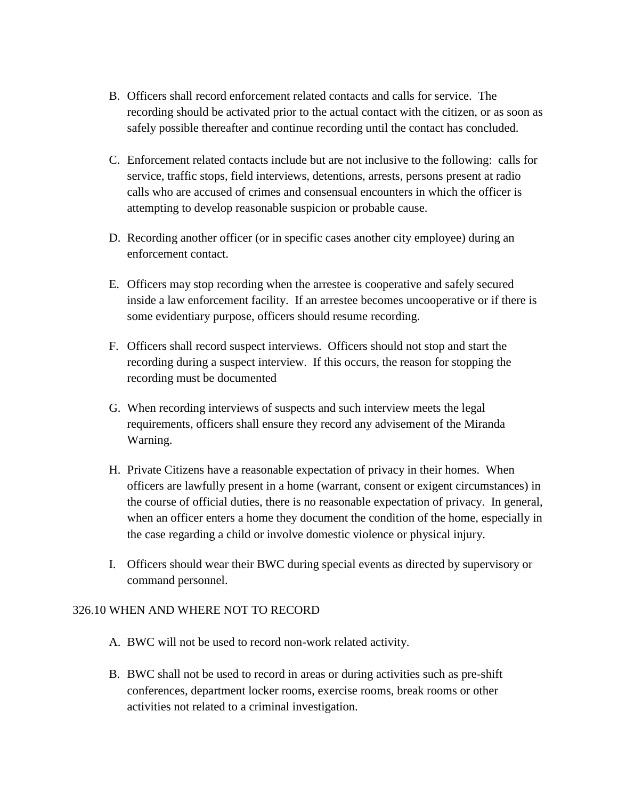- B. Officers shall record enforcement related contacts and calls for service. The recording should be activated prior to the actual contact with the citizen, or as soon as safely possible thereafter and continue recording until the contact has concluded.
- C. Enforcement related contacts include but are not inclusive to the following: calls for service, traffic stops, field interviews, detentions, arrests, persons present at radio calls who are accused of crimes and consensual encounters in which the officer is attempting to develop reasonable suspicion or probable cause.
- D. Recording another officer (or in specific cases another city employee) during an enforcement contact.
- E. Officers may stop recording when the arrestee is cooperative and safely secured inside a law enforcement facility. If an arrestee becomes uncooperative or if there is some evidentiary purpose, officers should resume recording.
- F. Officers shall record suspect interviews. Officers should not stop and start the recording during a suspect interview. If this occurs, the reason for stopping the recording must be documented
- G. When recording interviews of suspects and such interview meets the legal requirements, officers shall ensure they record any advisement of the Miranda Warning.
- H. Private Citizens have a reasonable expectation of privacy in their homes. When officers are lawfully present in a home (warrant, consent or exigent circumstances) in the course of official duties, there is no reasonable expectation of privacy. In general, when an officer enters a home they document the condition of the home, especially in the case regarding a child or involve domestic violence or physical injury.
- I. Officers should wear their BWC during special events as directed by supervisory or command personnel.

### 326.10 WHEN AND WHERE NOT TO RECORD

- A. BWC will not be used to record non-work related activity.
- B. BWC shall not be used to record in areas or during activities such as pre-shift conferences, department locker rooms, exercise rooms, break rooms or other activities not related to a criminal investigation.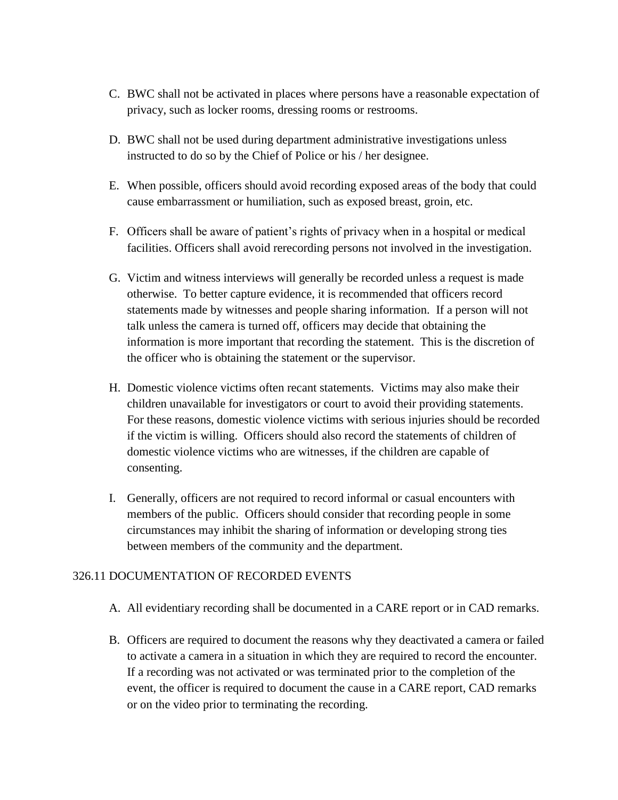- C. BWC shall not be activated in places where persons have a reasonable expectation of privacy, such as locker rooms, dressing rooms or restrooms.
- D. BWC shall not be used during department administrative investigations unless instructed to do so by the Chief of Police or his / her designee.
- E. When possible, officers should avoid recording exposed areas of the body that could cause embarrassment or humiliation, such as exposed breast, groin, etc.
- F. Officers shall be aware of patient's rights of privacy when in a hospital or medical facilities. Officers shall avoid rerecording persons not involved in the investigation.
- G. Victim and witness interviews will generally be recorded unless a request is made otherwise. To better capture evidence, it is recommended that officers record statements made by witnesses and people sharing information. If a person will not talk unless the camera is turned off, officers may decide that obtaining the information is more important that recording the statement. This is the discretion of the officer who is obtaining the statement or the supervisor.
- H. Domestic violence victims often recant statements. Victims may also make their children unavailable for investigators or court to avoid their providing statements. For these reasons, domestic violence victims with serious injuries should be recorded if the victim is willing. Officers should also record the statements of children of domestic violence victims who are witnesses, if the children are capable of consenting.
- I. Generally, officers are not required to record informal or casual encounters with members of the public. Officers should consider that recording people in some circumstances may inhibit the sharing of information or developing strong ties between members of the community and the department.

# 326.11 DOCUMENTATION OF RECORDED EVENTS

- A. All evidentiary recording shall be documented in a CARE report or in CAD remarks.
- B. Officers are required to document the reasons why they deactivated a camera or failed to activate a camera in a situation in which they are required to record the encounter. If a recording was not activated or was terminated prior to the completion of the event, the officer is required to document the cause in a CARE report, CAD remarks or on the video prior to terminating the recording.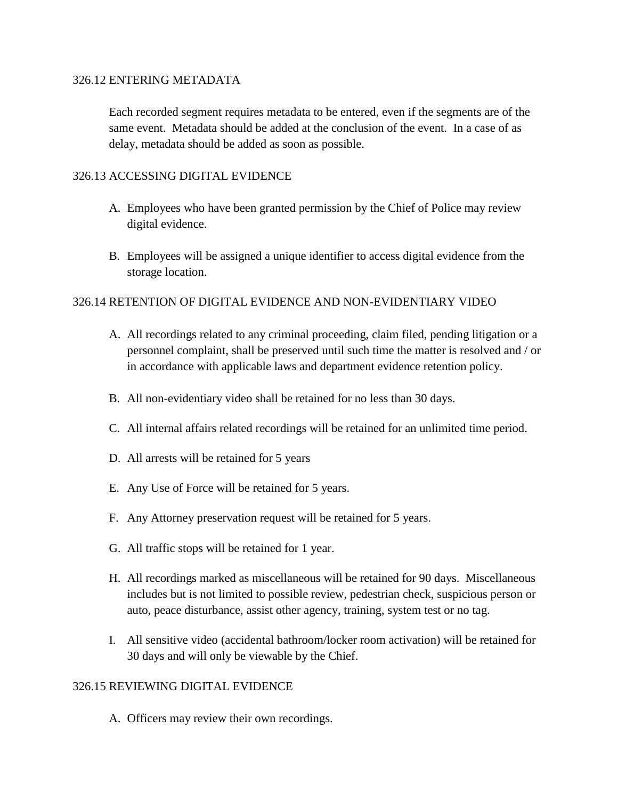### 326.12 ENTERING METADATA

Each recorded segment requires metadata to be entered, even if the segments are of the same event. Metadata should be added at the conclusion of the event. In a case of as delay, metadata should be added as soon as possible.

# 326.13 ACCESSING DIGITAL EVIDENCE

- A. Employees who have been granted permission by the Chief of Police may review digital evidence.
- B. Employees will be assigned a unique identifier to access digital evidence from the storage location.

# 326.14 RETENTION OF DIGITAL EVIDENCE AND NON-EVIDENTIARY VIDEO

- A. All recordings related to any criminal proceeding, claim filed, pending litigation or a personnel complaint, shall be preserved until such time the matter is resolved and / or in accordance with applicable laws and department evidence retention policy.
- B. All non-evidentiary video shall be retained for no less than 30 days.
- C. All internal affairs related recordings will be retained for an unlimited time period.
- D. All arrests will be retained for 5 years
- E. Any Use of Force will be retained for 5 years.
- F. Any Attorney preservation request will be retained for 5 years.
- G. All traffic stops will be retained for 1 year.
- H. All recordings marked as miscellaneous will be retained for 90 days. Miscellaneous includes but is not limited to possible review, pedestrian check, suspicious person or auto, peace disturbance, assist other agency, training, system test or no tag.
- I. All sensitive video (accidental bathroom/locker room activation) will be retained for 30 days and will only be viewable by the Chief.

# 326.15 REVIEWING DIGITAL EVIDENCE

A. Officers may review their own recordings.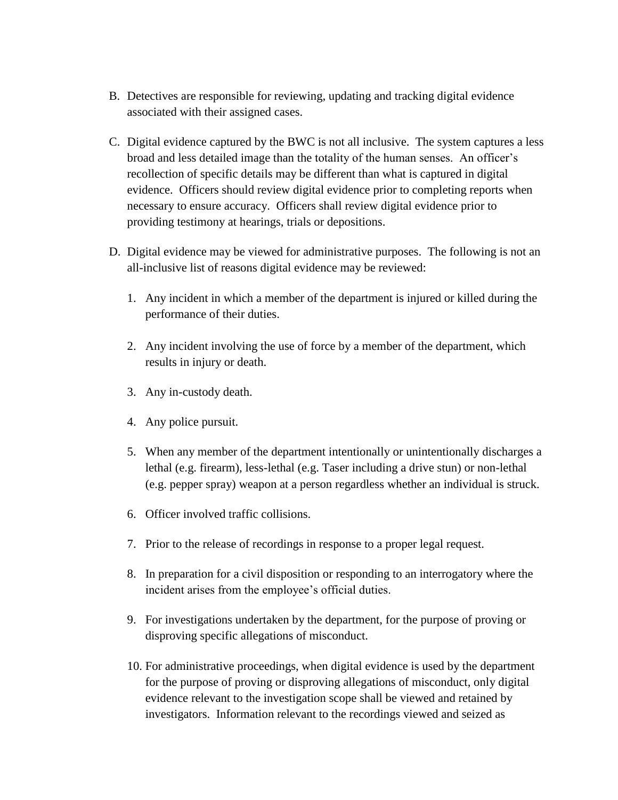- B. Detectives are responsible for reviewing, updating and tracking digital evidence associated with their assigned cases.
- C. Digital evidence captured by the BWC is not all inclusive. The system captures a less broad and less detailed image than the totality of the human senses. An officer's recollection of specific details may be different than what is captured in digital evidence. Officers should review digital evidence prior to completing reports when necessary to ensure accuracy. Officers shall review digital evidence prior to providing testimony at hearings, trials or depositions.
- D. Digital evidence may be viewed for administrative purposes. The following is not an all-inclusive list of reasons digital evidence may be reviewed:
	- 1. Any incident in which a member of the department is injured or killed during the performance of their duties.
	- 2. Any incident involving the use of force by a member of the department, which results in injury or death.
	- 3. Any in-custody death.
	- 4. Any police pursuit.
	- 5. When any member of the department intentionally or unintentionally discharges a lethal (e.g. firearm), less-lethal (e.g. Taser including a drive stun) or non-lethal (e.g. pepper spray) weapon at a person regardless whether an individual is struck.
	- 6. Officer involved traffic collisions.
	- 7. Prior to the release of recordings in response to a proper legal request.
	- 8. In preparation for a civil disposition or responding to an interrogatory where the incident arises from the employee's official duties.
	- 9. For investigations undertaken by the department, for the purpose of proving or disproving specific allegations of misconduct.
	- 10. For administrative proceedings, when digital evidence is used by the department for the purpose of proving or disproving allegations of misconduct, only digital evidence relevant to the investigation scope shall be viewed and retained by investigators. Information relevant to the recordings viewed and seized as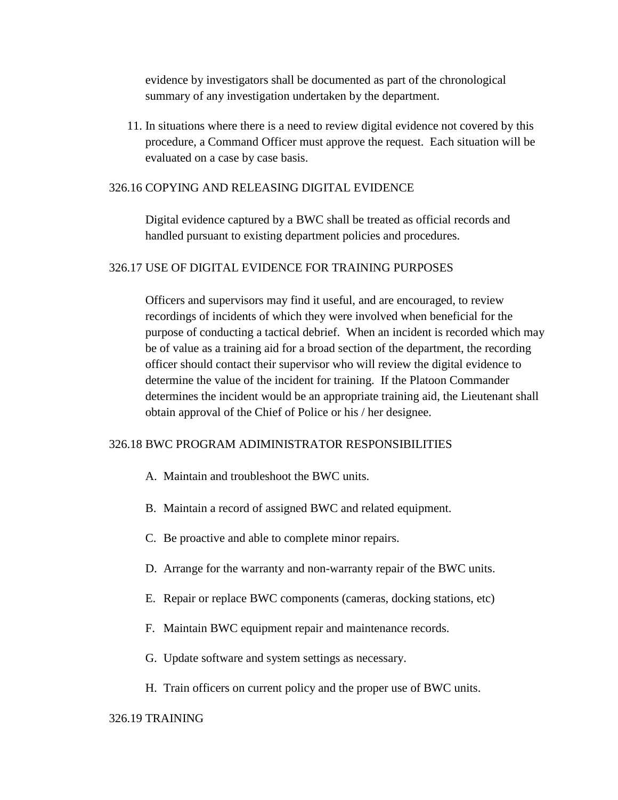evidence by investigators shall be documented as part of the chronological summary of any investigation undertaken by the department.

11. In situations where there is a need to review digital evidence not covered by this procedure, a Command Officer must approve the request. Each situation will be evaluated on a case by case basis.

#### 326.16 COPYING AND RELEASING DIGITAL EVIDENCE

Digital evidence captured by a BWC shall be treated as official records and handled pursuant to existing department policies and procedures.

### 326.17 USE OF DIGITAL EVIDENCE FOR TRAINING PURPOSES

Officers and supervisors may find it useful, and are encouraged, to review recordings of incidents of which they were involved when beneficial for the purpose of conducting a tactical debrief. When an incident is recorded which may be of value as a training aid for a broad section of the department, the recording officer should contact their supervisor who will review the digital evidence to determine the value of the incident for training. If the Platoon Commander determines the incident would be an appropriate training aid, the Lieutenant shall obtain approval of the Chief of Police or his / her designee.

### 326.18 BWC PROGRAM ADIMINISTRATOR RESPONSIBILITIES

- A. Maintain and troubleshoot the BWC units.
- B. Maintain a record of assigned BWC and related equipment.
- C. Be proactive and able to complete minor repairs.
- D. Arrange for the warranty and non-warranty repair of the BWC units.
- E. Repair or replace BWC components (cameras, docking stations, etc)
- F. Maintain BWC equipment repair and maintenance records.
- G. Update software and system settings as necessary.
- H. Train officers on current policy and the proper use of BWC units.

### 326.19 TRAINING